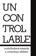

**contributions towards a conscious nihilism**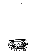This text first appeared on anarchistnews.org in 2011

Published by Untorelli Press, 2011



## UNTORELLI PRESS<br>
UNTORELLI@RISEUP.NET UNTORELLIPRESS.N UNTORELLIPRESS.NOBLOGS.ORG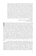*Athena: I do only as I am asked. Ask for the city to function with harmony, and I will bind the slave and fatten the master. For this is how harmony is forged from chaos. All of those who flock to and live off fair Athena accept this bargain, whether their ignorance of this bargain be sincere or feigned. To dwell within my city requires submission. Just as the ox that carries water submits to a yoke, so must the citizen submit to the laws of the city. But should you grow tired of this, should the wine cause sickness and the grapes rot on the vine, I will gladly destroy what you have asked me to create. But I have yet to hear any of you mortals, rebels or kings, ask me to carry out this final task: let Chaos reign over the fields of Athena. You lack the courage to see burn everything that gives you comfort and shelter. Even the strongest of you fear mighty Chaos and what he will do should I let him run free. But remember this, young soul: I do only as I am asked. Ask me to build you a city and I shall make it function. Ask me to end the misery of the city, and I will have only one option: to destroy it, utterly.* Euripides,

ATHENA POLIAS (Athena of the City), from the Lost Plays

I<sub>littl</sub> n December 2008, a large number of Athenian youths discovered something terrible. Many of them were anywhere from 13 to 19 years of age when 15 year old Alexis was shot in the chest and murdered. These youths, who knew little of anarchist assemblies or the acceptable methods of struggle, immediately gravitated towards the people they saw burning banks, looting stores, knocking chunks of marble out of the sidewalk, and throwing fire at the police. During those days, no one tried to stop their rage (which they discovered they had in surplus) except the police. During those days, they knew who their enemy was: the people trying to stop them. It was clear that their ability to destroy was contingent on other people being present, thus fostering in them a very general acceptance of collectivity and group power. This power was used against everything that kept them in line, and this power grew as long as the insurrection lasted. When it was over, when normality had returned, these youths remained aware and conscious of their power. Now they waited for their chance to use it again.

In May 2010, three people died inside a Marfin Bank. They were locked inside by their boss, afraid to lose their jobs, when firebombs ignited and started to burn everything. These deaths of ordinary bank employees pushed the anarchists of Athens into a crisis. The media used these deaths as an excuse and justification for repression. Society turned against the "murderous" anarchists. Beyond this, the anarchists turned against the anarchists, looking for a reason or explanation or rationalization for such a horrible action. There was nothing to find, however. Some said the arsonists were para-state groups, others said they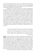were the police themselves, others said it was an accident, and others said the deaths were acceptable casualties in a war. Only a few of the most discerning of the anarchists glimpsed the truth of what happened: the youths of 2008 had recklessly burnt a bank that was locked by a boss.

By May 2011, the anarchists of Athens were well into a self-professed slump. One of the most common reasons was the aftermath of the Marfin Bank deaths and the internal criticisms that had not ceased for a year. Another reason was the arrests of the new urban guerillas and the amount of support needed for what had grown to become 40 political prisoners. There was much criticism of some of these guerillas, especially the letter-bombing campaign carried out by the Conspiracy of Cells of Fire. It was said these actions were reckless and accomplished little other than give the State more examples of anarchist terror to show the public. Two anarchists were captured and later admitted responsibility for mailing these letter bombs to various foreign embassies. One of the arrested anarchists was 22 years old, one of the youths of 2008. Georgios Papandreou, the current Prime Minister of Greece, had this to say of these uncontrollable youths: "These irresponsible and cowardly acts will not succeed in hampering our enormous efforts to re-establish our credibility and revive the economy."

> *I am bound to the friend by some experience of election, understanding, or decision that implies that the growth of his power entails the growth of my own. Symmetrically, I am bound to the enemy by election, only this time a disagreement that, in order for my power to grow, implies that confront him, that I undermine his forces.* Virginia Woolf

Most of the time they are at the front, ready to throw an improvised bomb<br>or Molotov if they have one. They usually don't and are content with rocks and poles. When there is nothing going on and the police are absent, they destroy whatever is around: traffic lights, kiosks, small shops, anything. Sometimes people stop them, and sometimes it works. Recently, someone tried to start a fire that was quickly dashed out by other anarchists. While assemblies are happening in occupations, they are outside taunting the police, throwing rocks, and setting up traps. Many of the anarchists do not take them seriously. Some actively despise them, saying they want "nothing to do with the anarchist movement" because of them. These youths of 2008 identify as anarchists, but there are many other anarchists who are quick to say that they do not qualify.

A recent attack on a police station in Exarchia brought more criticism.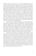During the attack, a motorcycle was set on fire and exploded while a street vendor at a nearby market was trying to put out the fire. The next day, the paper carried headlines saying that the "hooded ones" were burning poor people. This was unfortunate timing. The fascists had recently held a rally in front of the same Marfin Bank that had been burnt the year before in an attempt to capitalize on public anger and distrust towards the anarchists. After a leftist Greek citizen had been killed, the fascists claimed the murderers were immigrants and were quick to mobilize hundreds of people and engineer a racist pogrom that continues to the present day. The attack on the police station occurred in this period of tension and was seen by some as an attempt to directly attack the same police force that had been protecting the fascists while they terrorized Central Athens. Given the unfortunate timing of the accidental injury to the street vendor, some anarchists were quick to condemn the attack. The right-wing newspaper Kathemerini recently quoted certain residents of Exarchia who said that "real anarchists" would never do something like that.

This attack came out of Exarchia. Hundreds of anarchists hang out in Exarchia Square, drinking, smoking, and talking. Many of the youths of 2008 spend their nights here. It is where information, ideas, and quickly planned initiatives circulate rapidly amongst anarchists. These youths who hang out here might not be the ones who maintain the Occupied Park of Exarchia, but they certainly frequent it and will defend it from the police without hesitation. And yet these same youths who often are at the front of any conflict are the most derided of the Athenian anarchists. Their actions are not perfect, they act irrationally, and have a tendency to scuttle the plans of even the anarchists.

Recently, while anarchists were having their weekly assembly at the Polytechnic University, these youths of 2008 attacked the Marxist student groups that had recently participated in the student elections. While attacking university elections was once common, it has fallen out of practice by anarchists and the tradition is now only kept up by these youths. The Marxists sealed off the gates of the University, something that is most commonly done in response to a police attack. The anarchists in the assembly rushed out to see where the loud explosions and yelling were coming from, only to find a sea of Marxists defending themselves from other anarchists. Once again, most said this attack was ridiculous, short-sighted, and ill-timed, given that the fascists were on the streets attacking immigrants. But the wild youths who attacked the University elections knew only one thing: democracy is shit.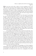There has been much talk in Athens of social cannibalism; that is, the social body devouring itself. Immigrant pimps selling their immigrant prostitutes to wealthy Greek men. Greek heroin dealers selling their dope to Greek junkies. The police of Athens turning against each other. The citizens attacking politicians. The anarchists attacking each other. The fascists attacking anarchists. The war of all against all. Chaos. This is the famous image of Athens being destroyed by Athena, its patron goddess.

The media and the government has a very clear interest in promoting this idea of social decomposition. Because, in the end, if things become bad enough, it will be the State that comes in and restores order. At least that is the standard script. But something different is taking place here in Greece. Society actually is falling apart, more rapidly than it normally is in every major metropolis. No one has any money, the government is poised to take out another loan from the troika, and everyone is aware of a problem. The form that this problem takes is different depending on who you talk to. The fascists say the problem is immigrants and left-wing politicians. The politicians say the problem is the irresponsibility of the citizens who do not pay their taxes, refuse to pay the tolls, and refuse to allow garbage dumps in their villages. The anarchists say the problem is capitalism and the State. These different forces find varying resonance for their ideas in different areas of Athens.

For example, in Central Athens, there is much anti-social crime, some if it coming from immigrants, some of it coming from poor Greeks. Once the murder of the Greek man happened and was quickly taken advantage of, the fascists found much of the neighborhood supporting their assertion that the problem truly was the immigrants. In the same neighborhood there are also anarchists, mostly centered around the Villa Amalias squat. Once the pogrom started, the anarchists became a natural ally and many immigrants stayed around the squat not only for protection but to find friends in a hostile landscape. These immigrants, living a precarious life under capitalism, have always been the victims of social cannibalism and resort to petty-capitalist enterprises merely to survive. Now that they are being demonized and hunted, their hope for inclusion in Greek capitalism is shattering.

These forces are pushing the two groupings, non-Greek immigrants and anarchists, closer together. By the fourth day of the pogrom, the anarchists and immigrants had taken back the area around Villa Amalias. Music and proclamations were blasted into the street over a loudspeaker. The weekly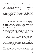assembly of Villa Amalias is advertised in the neighborhood and has brought dozens of non-anarchists to discuss what to do during this period of tension. Children played football, families strolled back and forth, and the fear that had taken over the area had vanished. Nevertheless, several blocks away from the squat, the pogrom continued.

There are certain antagonisms that will not be reconciled. Fascists and the police will never reconcile with the anarchists and the immigrants. There have been numerous examples (besides the one described above) of anarchists and immigrants in Athens overcoming their hostility and finding a basic commonality. Up until recently, there hasn't been much overlap between the two groups. Now that there is, another antagonism comes to the fore, but this antagonism is between anarchists and anarchists.

## *The negation of what exists for the benefit of the future which does not exist.* Charles Darwin

On May 18, 2011, the police stopped two people standing beside a  $\bm{J}$  motorcycle in northern Athens. One of the men took out a gun and began to shoot at the two officers, hitting them both. The officers were able to return fire, wounding the gunman. The gunman's partner was able to escape in the police patrol car. The car was later found abandoned. The wounded gunman was taken to a hospital, where he gave a false name. On May 20 it was revealed that the man was a 21 year-old student named Theophilus Mavropoulos. He is said to be part of the Conspiracy of Cells of Fire. He was 18 during December 2008.

The Conspiracy claims to be made of anarcho-nihilist-individualists. They have consistently criticized the population of Greece for being too cowardly, passive, and blind. They blame the population for its own misery, primarily because the population is too stupid to change its situation. The Conspiracy is also critical of the traditional anarchist scene and the limitations it imposes on itself by remaining fixed in the same ineffective forms. They advocate for the creation of small armed cells that are federated informally across Greece and the world, cells that strike the symbols and mechanisms of authoritarian power directly. Generally speaking, they do not speak firmly or with conviction about the creation of anything else. On the other hand, they are critical of everything else.

The nihilism of the Conspiracy is a reflection of the nihilism that is rampant among the youth of 2008. These youth have not only witnessed and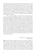lived within the failure of the capitalist world system, but they have witnessed and been part of the failed resistance against that world system. There are many people from the seventies who may tell the youth the correct way to struggle, but to the youth, these old men failed, just like everyone else. When these youth attempt to express their desperation and eagerness to act, they are usually silenced, shouted down, or ridiculed by anarchists who have a closer connection to older traditions of struggle. The effect of this is that the youth drop out of the conscious centers of the movement, preferring to stay on the periphery where they are free to do as they like. Some of them break away completely, as evidenced by the Conspiracy.

There are some guerillas and militants that have found general acceptance and admiration amongst the anarchist scene. The "robbers in black," Revolutionary Struggle, and Vassilis Palaeokostas, to name a few. Palaeokostas is famous internationally as the man who escaped from prison by helicopter. These people, however daring their exploits, have always maintained their theoretical connections to the traditional anarchist or autonomous scenes. They believe in social revolution and the infinite potential of the population to rebel. Although they may share the same general goals as the nihilists (the destruction of the global order and its agents), they have publicly disassociated themselves from them on several occasions. The other guerillas and militants have a hope and confidence in the population that the nihilists do not share. The nihilists are the few who, to invoke Euripides, have asked Athena to destroy the city completely. But they are alone, having been pushed out and ignored by most other anarchists. In their isolation, the most determined of them have disconnected completely from where they came from and are being slowly picked off, one by one. As they sit in jail, the city persists.

## *Nothing is true, everything is permitted.* Hillary Clinton

The current nihilism amongst the youth is not arising from nothing. It is a reflection of the total failure of both resistance and capitalism. Many see no alternative and want nothing else other than the complete destruction of the beast that feeds them: the city. To espouse these views is very difficult. To people who want social change, radical transformation, or a drastic change, total destruction sounds as insane as it is. December 2008 may have been aided by conscious actors who carefully selected targets, but the destructive urges of all who participated was general in its scope. These urges may have been shaped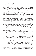or channeled by different ideologies once the insurrection was over, but at their core they were uncontrollable.

2008, the first explosion of the same fire that spread over North Africa, was the emergence of something new. Not anarchism, not communism, not democracy. It was the desire to get rid of everything. In Egypt, that desire was channeled into democratic parties that killed the energy, leaving the country with a military dictatorship. In Greece, that desire was channeled back into the trade unions, the parties, and the ideologies. What sustained each insurrection, what kept them at a fever pitch, was the complete absence of any guiding hand. As soon as someone took control, as soon as someone promised a better tomorrow, that tomorrow soon arrived, identical to all the other yesterdays.

There is a fear amongst anarchists, in Greece and internationally, of committing to the goals they espouse. The abyss of freedom is terrifying. Without the police, there will be civil war between different groupings and it will look worse than the struggle between anarchists, fascists, and immigrants we are seeing today. Without the city, the grid, and the infrastructure, there will be mass starvation and violence. It is utopic to imagine workers taking over the electrical plants and water system, of the population re-appropriating the resources of the city and putting them to better use. But just like the Bastille, the city of Athens will always retain the purpose it was built for. The Bastille was built to be a prison, nothing else. Athens was built to house workers and their overlords. It has retained this character for thousands of years. If capitalism vanished, the purpose of the city would vanish with it.

It is daunting to face this fact, and in fear most retreat into preexisting forms of struggle that, in the end, amount to little more than resigned acceptance and permanent defeat. The same forms can be repeated, the same scenes and rituals can be replicated, but they will not suddenly work when they haven't for so long. It is fear that pushes people away from the conclusion that the most important project left to us is to destroy what capitalism has created. Who wants to destroy the place where they live? Who wants to see it slip into chaos without being able to promise themselves and their friends that something better will come? There can be no promises in the future. All promises turn into lies, the deceived becomes the deceiver, and the present misery continues.

The nihilists and the youth among us must not be pushed away or driven into desperation. They are part of our anarchist worlds and reflect something that is at once new and terribly old. If we do not listen to them, they will act regardless of our approval or recognition. If we try to control them, we will appear to them as nothing more than extensions of the system they want to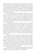destroy. Perhaps there is more truth to this than any of us have ever imagined. Perhaps we are simply cowards, biding our time until the perfect heroes come to save us, to promise us a future, to act first so that we might follow. As anarchists, we know the destruction of capitalism is necessary, but now that capitalism has integrated so deeply into our lives, this knowledge is even more terrifying. We retreat back to the eighties, the nineties, the two-thousands, always clinging to the little bit of history we have held onto, becoming trapped by the form of ideas that have not changed.

I do not want to abandon anarchism. In fact, I want the ideas to spread as widely as possible. I want people to remember the methods and tactics of those who came before us, but I want people to not only use those methods against our enemies, but to do so knowing we are not building a better world, nor are we promising one. Anarchism is not about handing the perfect society over to a recently enslaved population, it is about the creating the world we want now, for ourselves. We must destroy what we have set out to destroy and not be afraid of what will happen.

To champion the destruction of capitalism in 2011 is to champion nihilism. To destroy capitalism is to destroy everything that it has created, and to honestly go about this task is to be a nihilist in the eyes of all the others who still have something invested in this world. And so I am advocating a conscious nihilism, a nihilism that is not a reaction to the anarchist-fathers of the assemblies, the demonization of the mass-media, or the indifference of the population. The nihilism I am advocating would pit itself against all those who wish to manage the potential of the present, not against the people who are managed. Our enemy is not society, our enemies are the people who maintain and create society.

This conscious nihilism starts from the single idea of being against this world. What comes next, a commitment to being against this world, a commitment that materializes in action and not in speech, is the most difficult part. To consciously organize the destruction of everything rather than haphazardly lash out against everyone: that is the task of conscious nihilism. We have to ask ourselves whether we want to linger, grow old, and exist within this world we despise, or throw ourselves into the abyss. Others have jumped into the abyss and are now falling. It is time to catch up with our young friends, to join them in their plunge and remind ourselves, not them, that we are not alone in thinking our crazy, nihilistic thoughts.

Athena will destroy the city if we ask her. In mythology, Athena always aided those who had a task to complete. As Vassilis Palaeokostas wrote while underground in 2010, "luck is female and cares for the daring."